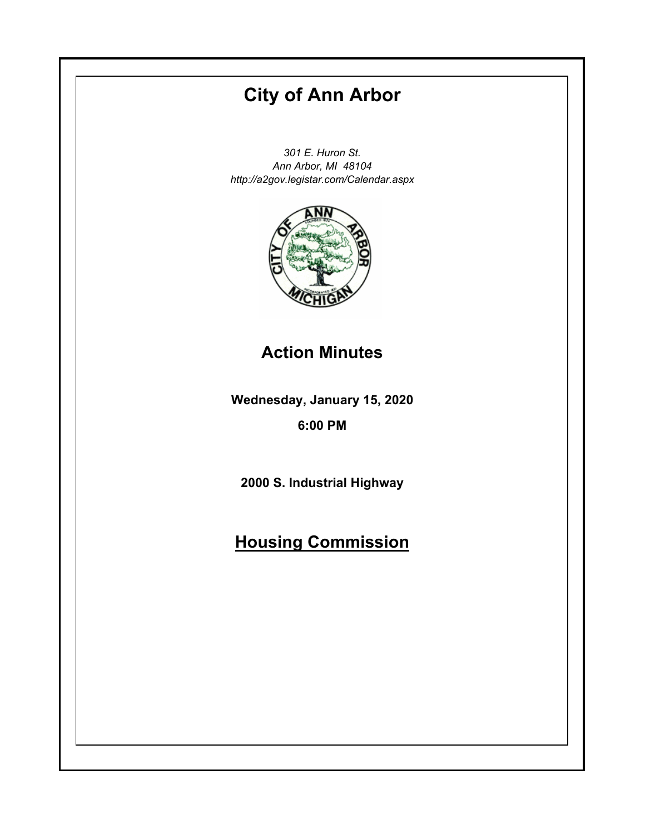# **City of Ann Arbor**

*301 E. Huron St. Ann Arbor, MI 48104 http://a2gov.legistar.com/Calendar.aspx*



### **Action Minutes**

**Wednesday, January 15, 2020**

### **6:00 PM**

**2000 S. Industrial Highway**

## **Housing Commission**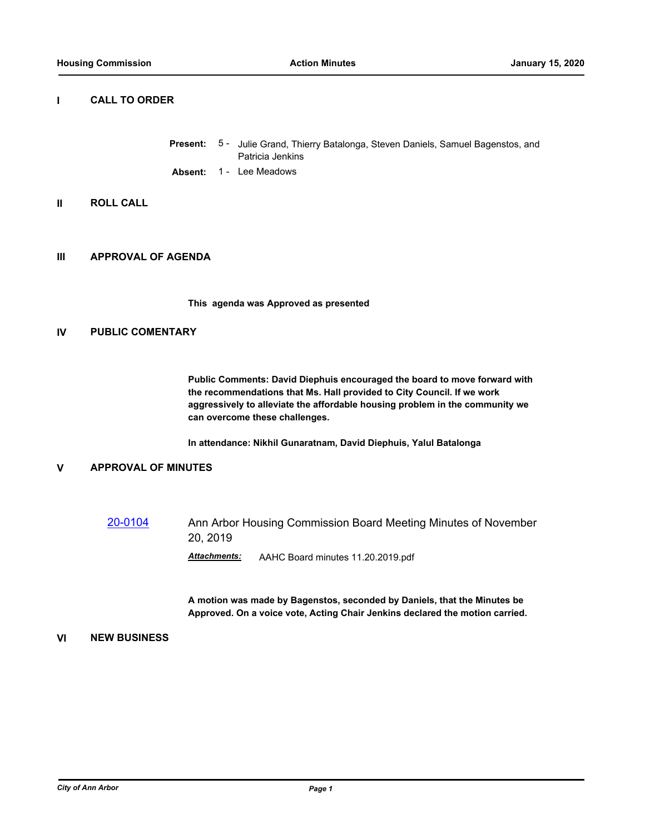#### **I CALL TO ORDER**

- 5 Julie Grand, Thierry Batalonga, Steven Daniels, Samuel Bagenstos, and Patricia Jenkins **Present:**
- **Absent:** 1 Lee Meadows

#### **II ROLL CALL**

#### **III APPROVAL OF AGENDA**

**This agenda was Approved as presented**

#### **IV PUBLIC COMENTARY**

**Public Comments: David Diephuis encouraged the board to move forward with the recommendations that Ms. Hall provided to City Council. If we work aggressively to alleviate the affordable housing problem in the community we can overcome these challenges.**

**In attendance: Nikhil Gunaratnam, David Diephuis, Yalul Batalonga**

#### **V APPROVAL OF MINUTES**

[20-0104](http://a2gov.legistar.com/gateway.aspx/matter.aspx?key=24140) Ann Arbor Housing Commission Board Meeting Minutes of November 20, 2019

*Attachments:* AAHC Board minutes 11.20.2019.pdf

**A motion was made by Bagenstos, seconded by Daniels, that the Minutes be Approved. On a voice vote, Acting Chair Jenkins declared the motion carried.**

#### **VI NEW BUSINESS**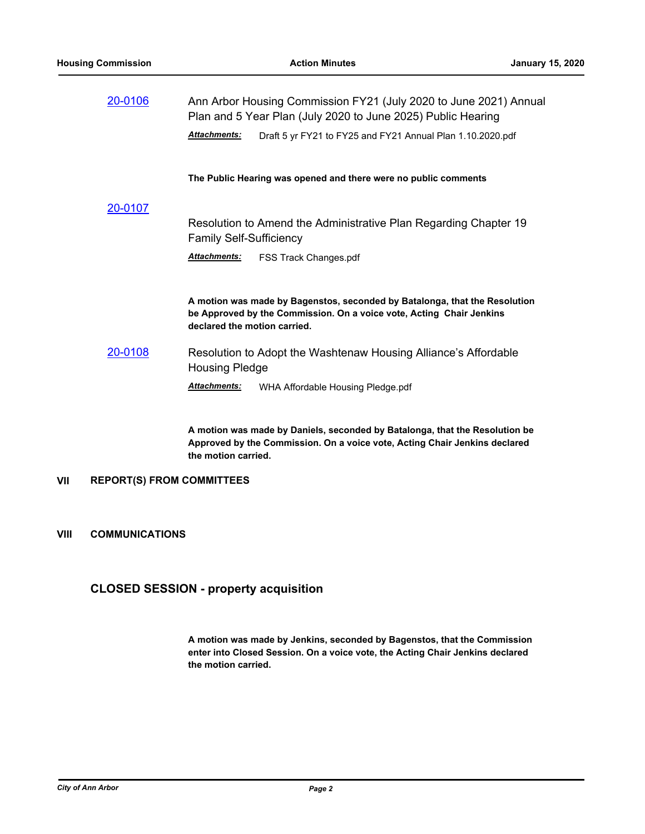| 20-0106 | Ann Arbor Housing Commission FY21 (July 2020 to June 2021) Annual<br>Plan and 5 Year Plan (July 2020 to June 2025) Public Hearing                                                  |  |  |
|---------|------------------------------------------------------------------------------------------------------------------------------------------------------------------------------------|--|--|
|         | <b>Attachments:</b><br>Draft 5 yr FY21 to FY25 and FY21 Annual Plan 1.10.2020.pdf                                                                                                  |  |  |
| 20-0107 | The Public Hearing was opened and there were no public comments                                                                                                                    |  |  |
|         | Resolution to Amend the Administrative Plan Regarding Chapter 19<br><b>Family Self-Sufficiency</b>                                                                                 |  |  |
|         | <b>Attachments:</b><br>FSS Track Changes.pdf                                                                                                                                       |  |  |
|         | A motion was made by Bagenstos, seconded by Batalonga, that the Resolution<br>be Approved by the Commission. On a voice vote, Acting Chair Jenkins<br>declared the motion carried. |  |  |
| 20-0108 | Resolution to Adopt the Washtenaw Housing Alliance's Affordable<br><b>Housing Pledge</b>                                                                                           |  |  |
|         | Attachments:<br>WHA Affordable Housing Pledge.pdf                                                                                                                                  |  |  |
|         | A motion was made by Daniels, seconded by Batalonga, that the Resolution be<br>Approved by the Commission. On a voice vote, Acting Chair Jenkins declared                          |  |  |

**VII REPORT(S) FROM COMMITTEES**

#### **VIII COMMUNICATIONS**

### **CLOSED SESSION - property acquisition**

**the motion carried.**

**A motion was made by Jenkins, seconded by Bagenstos, that the Commission enter into Closed Session. On a voice vote, the Acting Chair Jenkins declared the motion carried.**